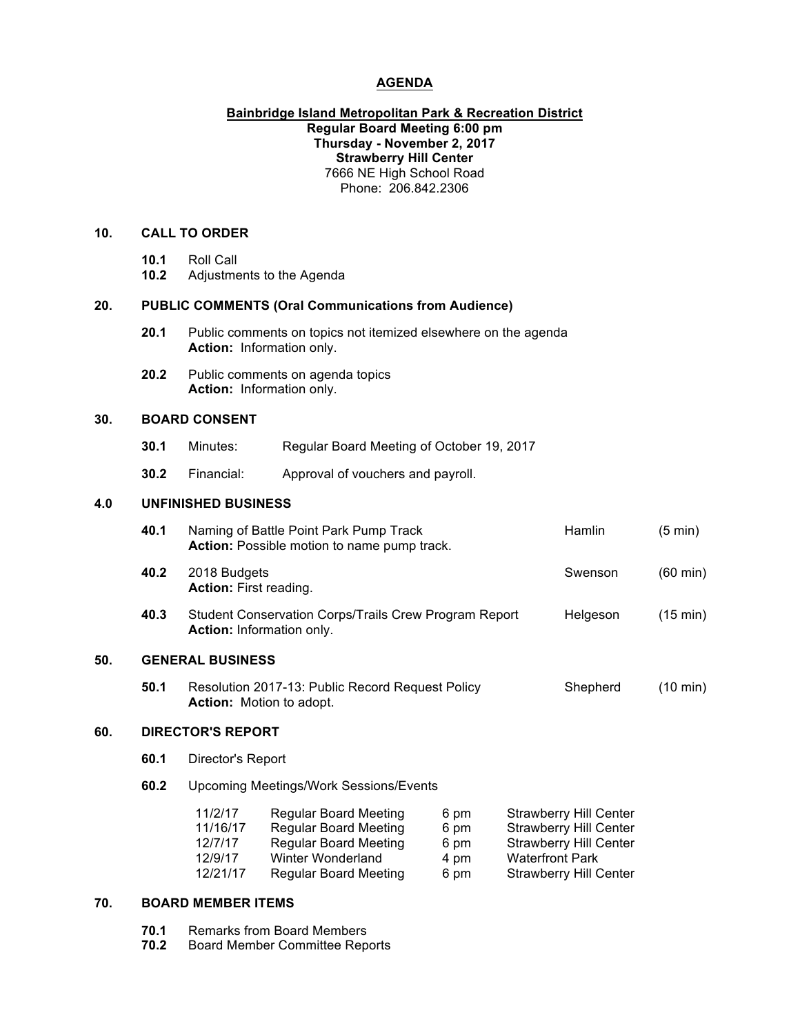### **AGENDA**

### **Bainbridge Island Metropolitan Park & Recreation District Regular Board Meeting 6:00 pm Thursday - November 2, 2017 Strawberry Hill Center** 7666 NE High School Road Phone: 206.842.2306

## **10. CALL TO ORDER**

- **10.1** Roll Call
- **10.2** Adjustments to the Agenda

### **20. PUBLIC COMMENTS (Oral Communications from Audience)**

- **20.1** Public comments on topics not itemized elsewhere on the agenda **Action:** Information only.
- **20.2** Public comments on agenda topics **Action:** Information only.

## **30. BOARD CONSENT**

- **30.1** Minutes: Regular Board Meeting of October 19, 2017
- **30.2** Financial: Approval of vouchers and payroll.

### **4.0 UNFINISHED BUSINESS**

|     | 40.1                     | Naming of Battle Point Park Pump Track<br><b>Action:</b> Possible motion to name pump track. | Hamlin   | (5 min)            |  |  |
|-----|--------------------------|----------------------------------------------------------------------------------------------|----------|--------------------|--|--|
|     | 40.2                     | 2018 Budgets<br><b>Action:</b> First reading.                                                | Swenson  | $(60 \text{ min})$ |  |  |
|     | 40.3                     | Student Conservation Corps/Trails Crew Program Report<br><b>Action:</b> Information only.    | Helgeson | $(15 \text{ min})$ |  |  |
| 50. | <b>GENERAL BUSINESS</b>  |                                                                                              |          |                    |  |  |
|     | 50.1                     | Resolution 2017-13: Public Record Request Policy<br><b>Action:</b> Motion to adopt.          | Shepherd | (10 min)           |  |  |
| 60. | <b>DIRECTOR'S REPORT</b> |                                                                                              |          |                    |  |  |
|     | 60.1                     | Director's Report                                                                            |          |                    |  |  |

**60.2** Upcoming Meetings/Work Sessions/Events

| 11/2/17  | <b>Regular Board Meeting</b> | 6 pm | <b>Strawberry Hill Center</b> |
|----------|------------------------------|------|-------------------------------|
| 11/16/17 | <b>Regular Board Meeting</b> | 6 pm | <b>Strawberry Hill Center</b> |
| 12/7/17  | <b>Regular Board Meeting</b> | 6 pm | <b>Strawberry Hill Center</b> |
| 12/9/17  | Winter Wonderland            | 4 pm | <b>Waterfront Park</b>        |
| 12/21/17 | <b>Regular Board Meeting</b> | 6 pm | <b>Strawberry Hill Center</b> |

### **70. BOARD MEMBER ITEMS**

- **70.1** Remarks from Board Members
- **70.2** Board Member Committee Reports